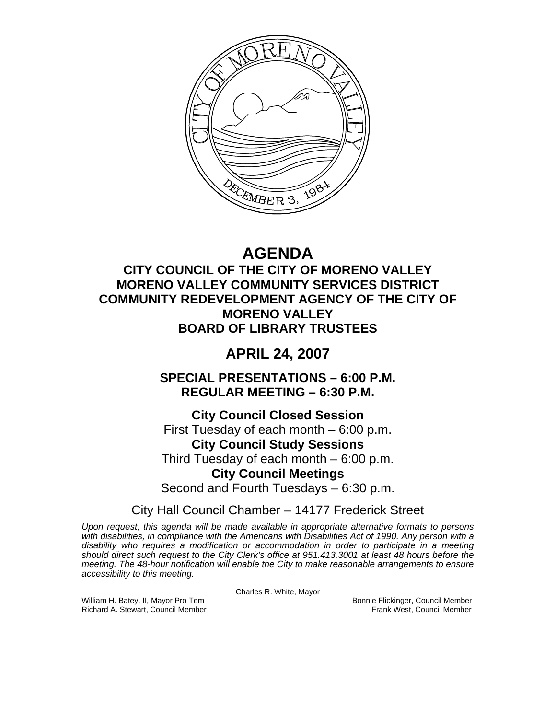

# **AGENDA**

## **CITY COUNCIL OF THE CITY OF MORENO VALLEY MORENO VALLEY COMMUNITY SERVICES DISTRICT COMMUNITY REDEVELOPMENT AGENCY OF THE CITY OF MORENO VALLEY BOARD OF LIBRARY TRUSTEES**

## **APRIL 24, 2007**

**SPECIAL PRESENTATIONS – 6:00 P.M. REGULAR MEETING – 6:30 P.M.** 

**City Council Closed Session**  First Tuesday of each month – 6:00 p.m. **City Council Study Sessions**  Third Tuesday of each month – 6:00 p.m. **City Council Meetings**  Second and Fourth Tuesdays – 6:30 p.m.

City Hall Council Chamber – 14177 Frederick Street

*Upon request, this agenda will be made available in appropriate alternative formats to persons with disabilities, in compliance with the Americans with Disabilities Act of 1990. Any person with a disability who requires a modification or accommodation in order to participate in a meeting should direct such request to the City Clerk's office at 951.413.3001 at least 48 hours before the meeting. The 48-hour notification will enable the City to make reasonable arrangements to ensure accessibility to this meeting.* 

Charles R. White, Mayor

William H. Batey, II, Mayor Pro Tem Bonnie Flickinger, Council Member<br>Richard A. Stewart, Council Member Bonnie Frank West, Council Member Richard A. Stewart, Council Member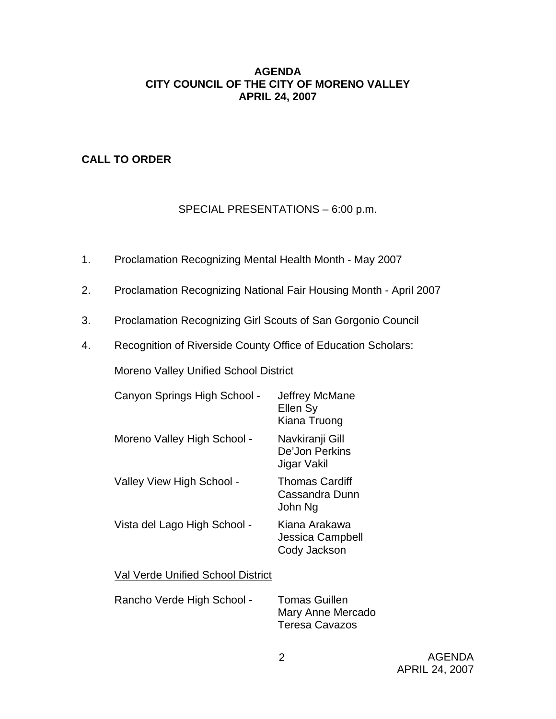## **AGENDA CITY COUNCIL OF THE CITY OF MORENO VALLEY APRIL 24, 2007**

## **CALL TO ORDER**

## SPECIAL PRESENTATIONS – 6:00 p.m.

- 1. Proclamation Recognizing Mental Health Month May 2007
- 2. Proclamation Recognizing National Fair Housing Month April 2007
- 3. Proclamation Recognizing Girl Scouts of San Gorgonio Council
- 4. Recognition of Riverside County Office of Education Scholars:

Moreno Valley Unified School District

| Canyon Springs High School - | Jeffrey McMane<br>Ellen Sy<br>Kiana Truong         |
|------------------------------|----------------------------------------------------|
| Moreno Valley High School -  | Navkiranji Gill<br>De'Jon Perkins<br>Jigar Vakil   |
| Valley View High School -    | <b>Thomas Cardiff</b><br>Cassandra Dunn<br>John Ng |
| Vista del Lago High School - | Kiana Arakawa<br>Jessica Campbell<br>Cody Jackson  |
|                              |                                                    |

Val Verde Unified School District

| Rancho Verde High School - | <b>Tomas Guillen</b>  |
|----------------------------|-----------------------|
|                            | Mary Anne Mercado     |
|                            | <b>Teresa Cavazos</b> |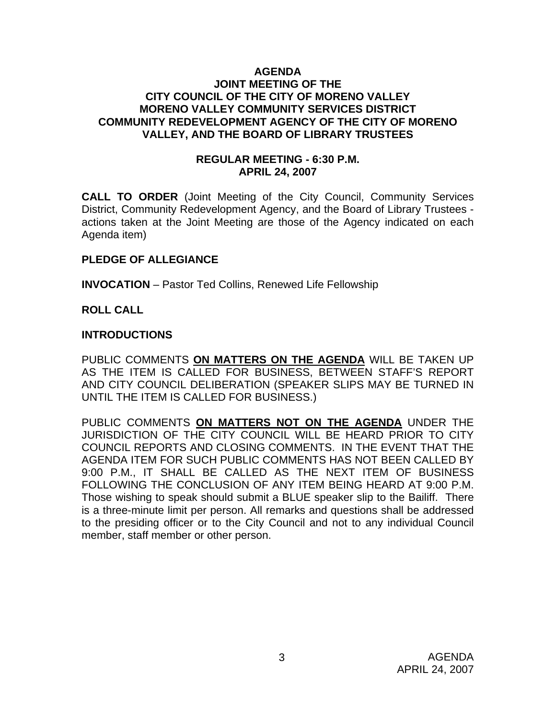#### **AGENDA JOINT MEETING OF THE CITY COUNCIL OF THE CITY OF MORENO VALLEY MORENO VALLEY COMMUNITY SERVICES DISTRICT COMMUNITY REDEVELOPMENT AGENCY OF THE CITY OF MORENO VALLEY, AND THE BOARD OF LIBRARY TRUSTEES**

#### **REGULAR MEETING - 6:30 P.M. APRIL 24, 2007**

**CALL TO ORDER** (Joint Meeting of the City Council, Community Services District, Community Redevelopment Agency, and the Board of Library Trustees actions taken at the Joint Meeting are those of the Agency indicated on each Agenda item)

## **PLEDGE OF ALLEGIANCE**

**INVOCATION** – Pastor Ted Collins, Renewed Life Fellowship

#### **ROLL CALL**

#### **INTRODUCTIONS**

PUBLIC COMMENTS **ON MATTERS ON THE AGENDA** WILL BE TAKEN UP AS THE ITEM IS CALLED FOR BUSINESS, BETWEEN STAFF'S REPORT AND CITY COUNCIL DELIBERATION (SPEAKER SLIPS MAY BE TURNED IN UNTIL THE ITEM IS CALLED FOR BUSINESS.)

PUBLIC COMMENTS **ON MATTERS NOT ON THE AGENDA** UNDER THE JURISDICTION OF THE CITY COUNCIL WILL BE HEARD PRIOR TO CITY COUNCIL REPORTS AND CLOSING COMMENTS. IN THE EVENT THAT THE AGENDA ITEM FOR SUCH PUBLIC COMMENTS HAS NOT BEEN CALLED BY 9:00 P.M., IT SHALL BE CALLED AS THE NEXT ITEM OF BUSINESS FOLLOWING THE CONCLUSION OF ANY ITEM BEING HEARD AT 9:00 P.M. Those wishing to speak should submit a BLUE speaker slip to the Bailiff. There is a three-minute limit per person. All remarks and questions shall be addressed to the presiding officer or to the City Council and not to any individual Council member, staff member or other person.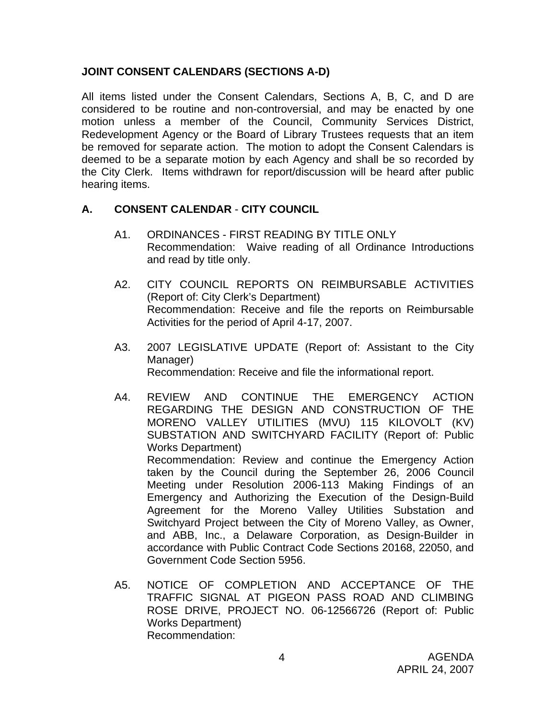## **JOINT CONSENT CALENDARS (SECTIONS A-D)**

All items listed under the Consent Calendars, Sections A, B, C, and D are considered to be routine and non-controversial, and may be enacted by one motion unless a member of the Council, Community Services District, Redevelopment Agency or the Board of Library Trustees requests that an item be removed for separate action. The motion to adopt the Consent Calendars is deemed to be a separate motion by each Agency and shall be so recorded by the City Clerk. Items withdrawn for report/discussion will be heard after public hearing items.

## **A. CONSENT CALENDAR** - **CITY COUNCIL**

- A1. ORDINANCES FIRST READING BY TITLE ONLY Recommendation: Waive reading of all Ordinance Introductions and read by title only.
- A2. CITY COUNCIL REPORTS ON REIMBURSABLE ACTIVITIES (Report of: City Clerk's Department) Recommendation: Receive and file the reports on Reimbursable Activities for the period of April 4-17, 2007.
- A3. 2007 LEGISLATIVE UPDATE (Report of: Assistant to the City Manager) Recommendation: Receive and file the informational report.
- A4. REVIEW AND CONTINUE THE EMERGENCY ACTION REGARDING THE DESIGN AND CONSTRUCTION OF THE MORENO VALLEY UTILITIES (MVU) 115 KILOVOLT (KV) SUBSTATION AND SWITCHYARD FACILITY (Report of: Public Works Department) Recommendation: Review and continue the Emergency Action taken by the Council during the September 26, 2006 Council Meeting under Resolution 2006-113 Making Findings of an Emergency and Authorizing the Execution of the Design-Build Agreement for the Moreno Valley Utilities Substation and Switchyard Project between the City of Moreno Valley, as Owner, and ABB, Inc., a Delaware Corporation, as Design-Builder in accordance with Public Contract Code Sections 20168, 22050, and Government Code Section 5956.
- A5. NOTICE OF COMPLETION AND ACCEPTANCE OF THE TRAFFIC SIGNAL AT PIGEON PASS ROAD AND CLIMBING ROSE DRIVE, PROJECT NO. 06-12566726 (Report of: Public Works Department) Recommendation: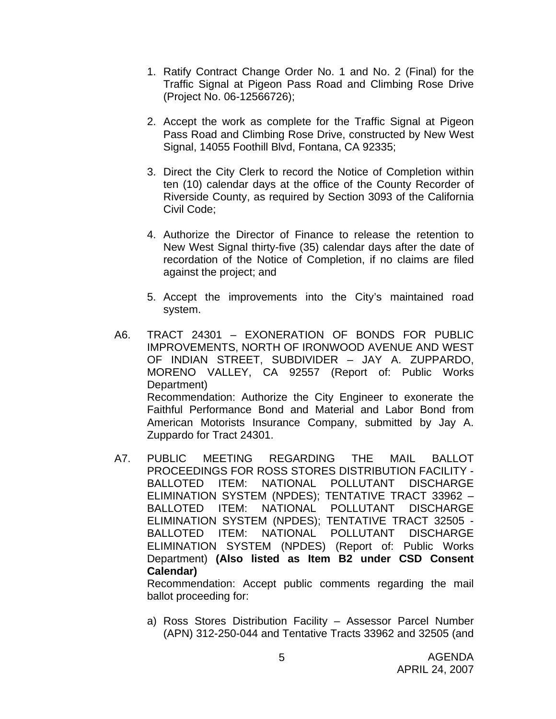- 1. Ratify Contract Change Order No. 1 and No. 2 (Final) for the Traffic Signal at Pigeon Pass Road and Climbing Rose Drive (Project No. 06-12566726);
- 2. Accept the work as complete for the Traffic Signal at Pigeon Pass Road and Climbing Rose Drive, constructed by New West Signal, 14055 Foothill Blvd, Fontana, CA 92335;
- 3. Direct the City Clerk to record the Notice of Completion within ten (10) calendar days at the office of the County Recorder of Riverside County, as required by Section 3093 of the California Civil Code;
- 4. Authorize the Director of Finance to release the retention to New West Signal thirty-five (35) calendar days after the date of recordation of the Notice of Completion, if no claims are filed against the project; and
- 5. Accept the improvements into the City's maintained road system.
- A6. TRACT 24301 EXONERATION OF BONDS FOR PUBLIC IMPROVEMENTS, NORTH OF IRONWOOD AVENUE AND WEST OF INDIAN STREET, SUBDIVIDER – JAY A. ZUPPARDO, MORENO VALLEY, CA 92557 (Report of: Public Works Department) Recommendation: Authorize the City Engineer to exonerate the Faithful Performance Bond and Material and Labor Bond from American Motorists Insurance Company, submitted by Jay A. Zuppardo for Tract 24301.
- A7. PUBLIC MEETING REGARDING THE MAIL BALLOT PROCEEDINGS FOR ROSS STORES DISTRIBUTION FACILITY - BALLOTED ITEM: NATIONAL POLLUTANT DISCHARGE ELIMINATION SYSTEM (NPDES); TENTATIVE TRACT 33962 – BALLOTED ITEM: NATIONAL POLLUTANT DISCHARGE ELIMINATION SYSTEM (NPDES); TENTATIVE TRACT 32505 - BALLOTED ITEM: NATIONAL POLLUTANT DISCHARGE ELIMINATION SYSTEM (NPDES) (Report of: Public Works Department) **(Also listed as Item B2 under CSD Consent Calendar)**

 Recommendation: Accept public comments regarding the mail ballot proceeding for:

a) Ross Stores Distribution Facility – Assessor Parcel Number (APN) 312-250-044 and Tentative Tracts 33962 and 32505 (and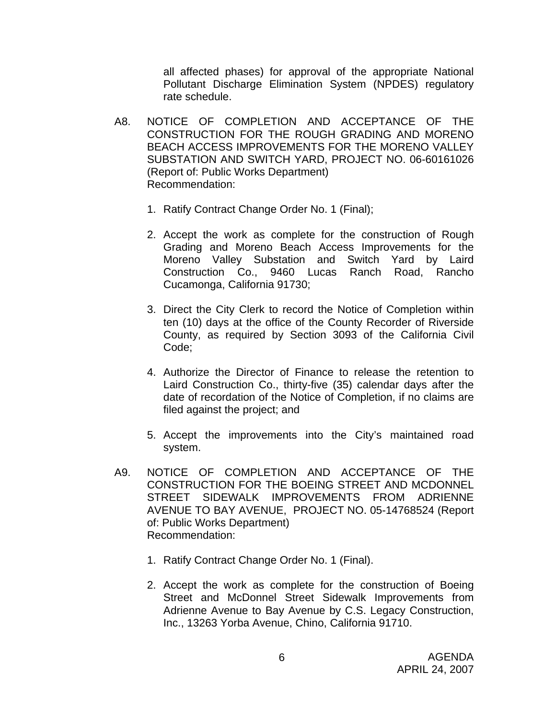all affected phases) for approval of the appropriate National Pollutant Discharge Elimination System (NPDES) regulatory rate schedule.

- A8. NOTICE OF COMPLETION AND ACCEPTANCE OF THE CONSTRUCTION FOR THE ROUGH GRADING AND MORENO BEACH ACCESS IMPROVEMENTS FOR THE MORENO VALLEY SUBSTATION AND SWITCH YARD, PROJECT NO. 06-60161026 (Report of: Public Works Department) Recommendation:
	- 1. Ratify Contract Change Order No. 1 (Final);
	- 2. Accept the work as complete for the construction of Rough Grading and Moreno Beach Access Improvements for the Moreno Valley Substation and Switch Yard by Laird Construction Co., 9460 Lucas Ranch Road, Rancho Cucamonga, California 91730;
	- 3. Direct the City Clerk to record the Notice of Completion within ten (10) days at the office of the County Recorder of Riverside County, as required by Section 3093 of the California Civil Code;
	- 4. Authorize the Director of Finance to release the retention to Laird Construction Co., thirty-five (35) calendar days after the date of recordation of the Notice of Completion, if no claims are filed against the project; and
	- 5. Accept the improvements into the City's maintained road system.
- A9. NOTICE OF COMPLETION AND ACCEPTANCE OF THE CONSTRUCTION FOR THE BOEING STREET AND MCDONNEL STREET SIDEWALK IMPROVEMENTS FROM ADRIENNE AVENUE TO BAY AVENUE, PROJECT NO. 05-14768524 (Report of: Public Works Department) Recommendation:
	- 1. Ratify Contract Change Order No. 1 (Final).
	- 2. Accept the work as complete for the construction of Boeing Street and McDonnel Street Sidewalk Improvements from Adrienne Avenue to Bay Avenue by C.S. Legacy Construction, Inc., 13263 Yorba Avenue, Chino, California 91710.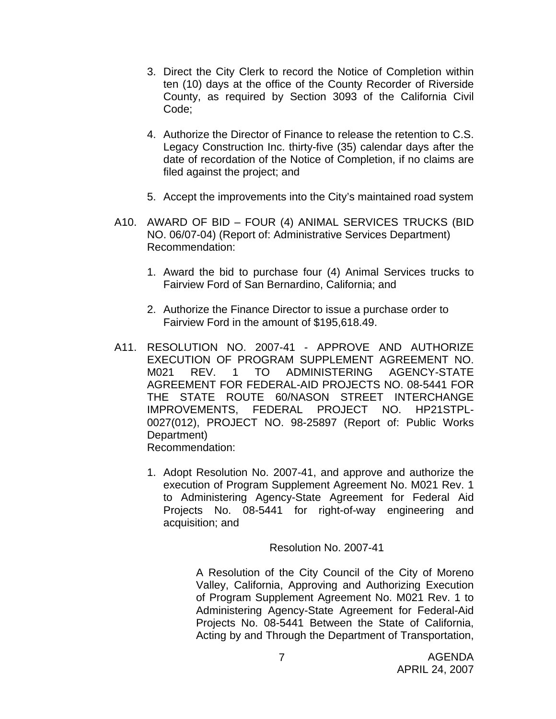- 3. Direct the City Clerk to record the Notice of Completion within ten (10) days at the office of the County Recorder of Riverside County, as required by Section 3093 of the California Civil Code;
- 4. Authorize the Director of Finance to release the retention to C.S. Legacy Construction Inc. thirty-five (35) calendar days after the date of recordation of the Notice of Completion, if no claims are filed against the project; and
- 5. Accept the improvements into the City's maintained road system
- A10. AWARD OF BID FOUR (4) ANIMAL SERVICES TRUCKS (BID NO. 06/07-04) (Report of: Administrative Services Department) Recommendation:
	- 1. Award the bid to purchase four (4) Animal Services trucks to Fairview Ford of San Bernardino, California; and
	- 2. Authorize the Finance Director to issue a purchase order to Fairview Ford in the amount of \$195,618.49.
- A11. RESOLUTION NO. 2007-41 APPROVE AND AUTHORIZE EXECUTION OF PROGRAM SUPPLEMENT AGREEMENT NO. M021 REV. 1 TO ADMINISTERING AGENCY-STATE AGREEMENT FOR FEDERAL-AID PROJECTS NO. 08-5441 FOR THE STATE ROUTE 60/NASON STREET INTERCHANGE IMPROVEMENTS, FEDERAL PROJECT NO. HP21STPL-0027(012), PROJECT NO. 98-25897 (Report of: Public Works Department) Recommendation:
	- 1. Adopt Resolution No. 2007-41, and approve and authorize the execution of Program Supplement Agreement No. M021 Rev. 1 to Administering Agency-State Agreement for Federal Aid Projects No. 08-5441 for right-of-way engineering and acquisition; and

Resolution No. 2007-41

A Resolution of the City Council of the City of Moreno Valley, California, Approving and Authorizing Execution of Program Supplement Agreement No. M021 Rev. 1 to Administering Agency-State Agreement for Federal-Aid Projects No. 08-5441 Between the State of California, Acting by and Through the Department of Transportation,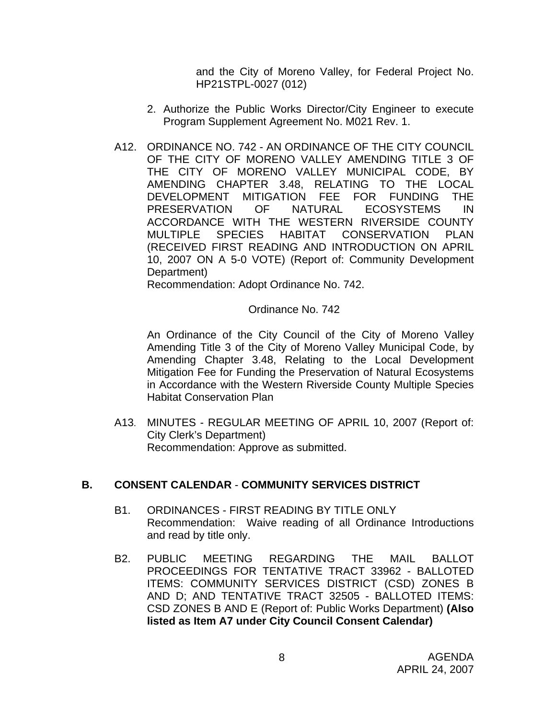and the City of Moreno Valley, for Federal Project No. HP21STPL-0027 (012)

- 2. Authorize the Public Works Director/City Engineer to execute Program Supplement Agreement No. M021 Rev. 1.
- A12. ORDINANCE NO. 742 AN ORDINANCE OF THE CITY COUNCIL OF THE CITY OF MORENO VALLEY AMENDING TITLE 3 OF THE CITY OF MORENO VALLEY MUNICIPAL CODE, BY AMENDING CHAPTER 3.48, RELATING TO THE LOCAL DEVELOPMENT MITIGATION FEE FOR FUNDING THE PRESERVATION OF NATURAL ECOSYSTEMS IN ACCORDANCE WITH THE WESTERN RIVERSIDE COUNTY MULTIPLE SPECIES HABITAT CONSERVATION PLAN (RECEIVED FIRST READING AND INTRODUCTION ON APRIL 10, 2007 ON A 5-0 VOTE) (Report of: Community Development Department)

Recommendation: Adopt Ordinance No. 742.

#### Ordinance No. 742

An Ordinance of the City Council of the City of Moreno Valley Amending Title 3 of the City of Moreno Valley Municipal Code, by Amending Chapter 3.48, Relating to the Local Development Mitigation Fee for Funding the Preservation of Natural Ecosystems in Accordance with the Western Riverside County Multiple Species Habitat Conservation Plan

A13. MINUTES - REGULAR MEETING OF APRIL 10, 2007 (Report of: City Clerk's Department) Recommendation: Approve as submitted.

#### **B. CONSENT CALENDAR** - **COMMUNITY SERVICES DISTRICT**

- B1. ORDINANCES FIRST READING BY TITLE ONLY Recommendation: Waive reading of all Ordinance Introductions and read by title only.
- B2. PUBLIC MEETING REGARDING THE MAIL BALLOT PROCEEDINGS FOR TENTATIVE TRACT 33962 - BALLOTED ITEMS: COMMUNITY SERVICES DISTRICT (CSD) ZONES B AND D; AND TENTATIVE TRACT 32505 - BALLOTED ITEMS: CSD ZONES B AND E (Report of: Public Works Department) **(Also listed as Item A7 under City Council Consent Calendar)**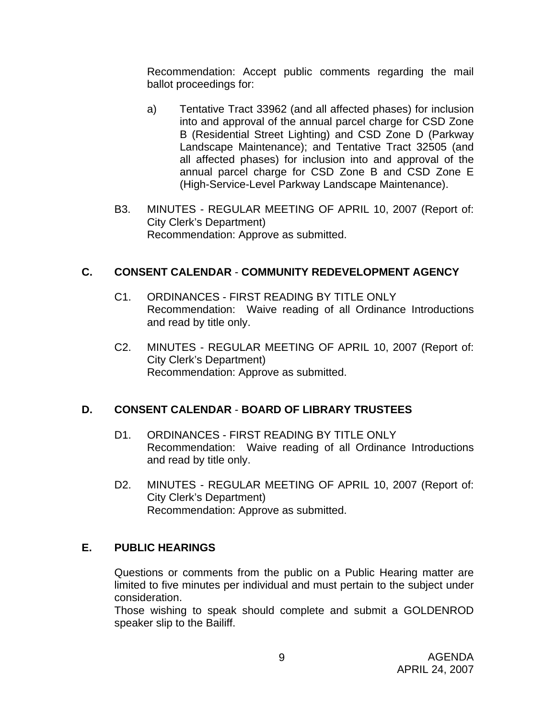Recommendation: Accept public comments regarding the mail ballot proceedings for:

- a) Tentative Tract 33962 (and all affected phases) for inclusion into and approval of the annual parcel charge for CSD Zone B (Residential Street Lighting) and CSD Zone D (Parkway Landscape Maintenance); and Tentative Tract 32505 (and all affected phases) for inclusion into and approval of the annual parcel charge for CSD Zone B and CSD Zone E (High-Service-Level Parkway Landscape Maintenance).
- B3. MINUTES REGULAR MEETING OF APRIL 10, 2007 (Report of: City Clerk's Department) Recommendation: Approve as submitted.

## **C. CONSENT CALENDAR** - **COMMUNITY REDEVELOPMENT AGENCY**

- C1. ORDINANCES FIRST READING BY TITLE ONLY Recommendation: Waive reading of all Ordinance Introductions and read by title only.
- C2. MINUTES REGULAR MEETING OF APRIL 10, 2007 (Report of: City Clerk's Department) Recommendation: Approve as submitted.

## **D. CONSENT CALENDAR** - **BOARD OF LIBRARY TRUSTEES**

- D1. ORDINANCES FIRST READING BY TITLE ONLY Recommendation: Waive reading of all Ordinance Introductions and read by title only.
- D2. MINUTES REGULAR MEETING OF APRIL 10, 2007 (Report of: City Clerk's Department) Recommendation: Approve as submitted.

## **E. PUBLIC HEARINGS**

Questions or comments from the public on a Public Hearing matter are limited to five minutes per individual and must pertain to the subject under consideration.

 Those wishing to speak should complete and submit a GOLDENROD speaker slip to the Bailiff.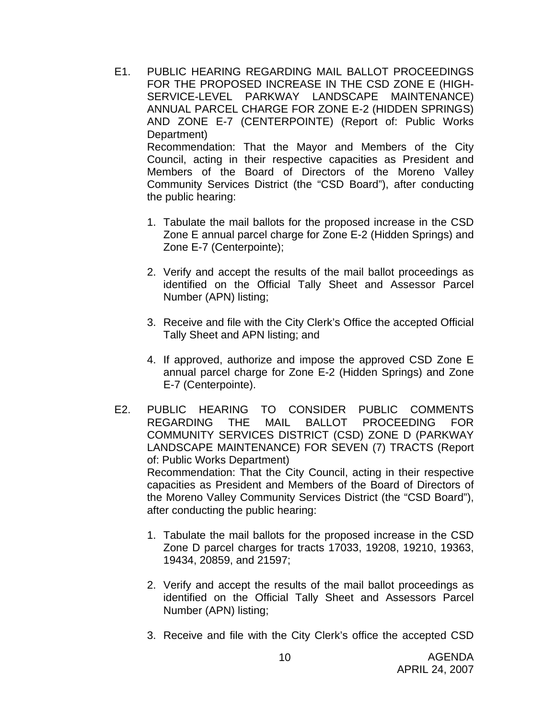- E1. PUBLIC HEARING REGARDING MAIL BALLOT PROCEEDINGS FOR THE PROPOSED INCREASE IN THE CSD ZONE E (HIGH-SERVICE-LEVEL PARKWAY LANDSCAPE MAINTENANCE) ANNUAL PARCEL CHARGE FOR ZONE E-2 (HIDDEN SPRINGS) AND ZONE E-7 (CENTERPOINTE) (Report of: Public Works Department) Recommendation: That the Mayor and Members of the City Council, acting in their respective capacities as President and Members of the Board of Directors of the Moreno Valley Community Services District (the "CSD Board"), after conducting the public hearing:
	- 1. Tabulate the mail ballots for the proposed increase in the CSD Zone E annual parcel charge for Zone E-2 (Hidden Springs) and Zone E-7 (Centerpointe);
	- 2. Verify and accept the results of the mail ballot proceedings as identified on the Official Tally Sheet and Assessor Parcel Number (APN) listing;
	- 3. Receive and file with the City Clerk's Office the accepted Official Tally Sheet and APN listing; and
	- 4. If approved, authorize and impose the approved CSD Zone E annual parcel charge for Zone E-2 (Hidden Springs) and Zone E-7 (Centerpointe).
- E2. PUBLIC HEARING TO CONSIDER PUBLIC COMMENTS REGARDING THE MAIL BALLOT PROCEEDING FOR COMMUNITY SERVICES DISTRICT (CSD) ZONE D (PARKWAY LANDSCAPE MAINTENANCE) FOR SEVEN (7) TRACTS (Report of: Public Works Department) Recommendation: That the City Council, acting in their respective capacities as President and Members of the Board of Directors of the Moreno Valley Community Services District (the "CSD Board"), after conducting the public hearing:
	- 1. Tabulate the mail ballots for the proposed increase in the CSD Zone D parcel charges for tracts 17033, 19208, 19210, 19363, 19434, 20859, and 21597;
	- 2. Verify and accept the results of the mail ballot proceedings as identified on the Official Tally Sheet and Assessors Parcel Number (APN) listing;
	- 3. Receive and file with the City Clerk's office the accepted CSD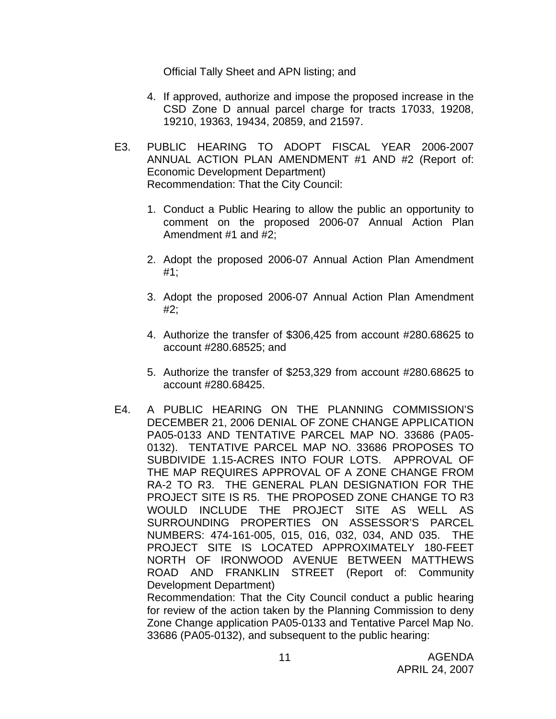Official Tally Sheet and APN listing; and

- 4. If approved, authorize and impose the proposed increase in the CSD Zone D annual parcel charge for tracts 17033, 19208, 19210, 19363, 19434, 20859, and 21597.
- E3. PUBLIC HEARING TO ADOPT FISCAL YEAR 2006-2007 ANNUAL ACTION PLAN AMENDMENT #1 AND #2 (Report of: Economic Development Department) Recommendation: That the City Council:
	- 1. Conduct a Public Hearing to allow the public an opportunity to comment on the proposed 2006-07 Annual Action Plan Amendment #1 and #2;
	- 2. Adopt the proposed 2006-07 Annual Action Plan Amendment #1;
	- 3. Adopt the proposed 2006-07 Annual Action Plan Amendment #2;
	- 4. Authorize the transfer of \$306,425 from account #280.68625 to account #280.68525; and
	- 5. Authorize the transfer of \$253,329 from account #280.68625 to account #280.68425.
- E4. A PUBLIC HEARING ON THE PLANNING COMMISSION'S DECEMBER 21, 2006 DENIAL OF ZONE CHANGE APPLICATION PA05-0133 AND TENTATIVE PARCEL MAP NO. 33686 (PA05- 0132). TENTATIVE PARCEL MAP NO. 33686 PROPOSES TO SUBDIVIDE 1.15-ACRES INTO FOUR LOTS. APPROVAL OF THE MAP REQUIRES APPROVAL OF A ZONE CHANGE FROM RA-2 TO R3. THE GENERAL PLAN DESIGNATION FOR THE PROJECT SITE IS R5. THE PROPOSED ZONE CHANGE TO R3 WOULD INCLUDE THE PROJECT SITE AS WELL AS SURROUNDING PROPERTIES ON ASSESSOR'S PARCEL NUMBERS: 474-161-005, 015, 016, 032, 034, AND 035. THE PROJECT SITE IS LOCATED APPROXIMATELY 180-FEET NORTH OF IRONWOOD AVENUE BETWEEN MATTHEWS ROAD AND FRANKLIN STREET (Report of: Community Development Department) Recommendation: That the City Council conduct a public hearing

for review of the action taken by the Planning Commission to deny Zone Change application PA05-0133 and Tentative Parcel Map No. 33686 (PA05-0132), and subsequent to the public hearing: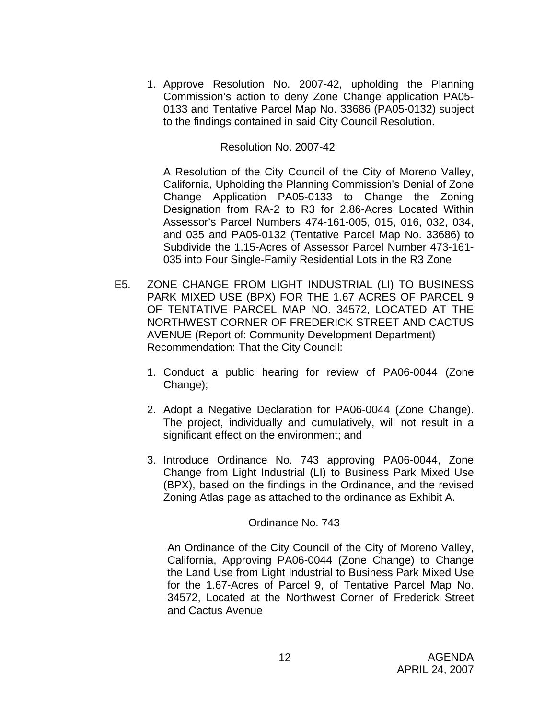1. Approve Resolution No. 2007-42, upholding the Planning Commission's action to deny Zone Change application PA05- 0133 and Tentative Parcel Map No. 33686 (PA05-0132) subject to the findings contained in said City Council Resolution.

## Resolution No. 2007-42

A Resolution of the City Council of the City of Moreno Valley, California, Upholding the Planning Commission's Denial of Zone Change Application PA05-0133 to Change the Zoning Designation from RA-2 to R3 for 2.86-Acres Located Within Assessor's Parcel Numbers 474-161-005, 015, 016, 032, 034, and 035 and PA05-0132 (Tentative Parcel Map No. 33686) to Subdivide the 1.15-Acres of Assessor Parcel Number 473-161- 035 into Four Single-Family Residential Lots in the R3 Zone

- E5. ZONE CHANGE FROM LIGHT INDUSTRIAL (LI) TO BUSINESS PARK MIXED USE (BPX) FOR THE 1.67 ACRES OF PARCEL 9 OF TENTATIVE PARCEL MAP NO. 34572, LOCATED AT THE NORTHWEST CORNER OF FREDERICK STREET AND CACTUS AVENUE (Report of: Community Development Department) Recommendation: That the City Council:
	- 1. Conduct a public hearing for review of PA06-0044 (Zone Change);
	- 2. Adopt a Negative Declaration for PA06-0044 (Zone Change). The project, individually and cumulatively, will not result in a significant effect on the environment; and
	- 3. Introduce Ordinance No. 743 approving PA06-0044, Zone Change from Light Industrial (LI) to Business Park Mixed Use (BPX), based on the findings in the Ordinance, and the revised Zoning Atlas page as attached to the ordinance as Exhibit A.

#### Ordinance No. 743

 An Ordinance of the City Council of the City of Moreno Valley, California, Approving PA06-0044 (Zone Change) to Change the Land Use from Light Industrial to Business Park Mixed Use for the 1.67-Acres of Parcel 9, of Tentative Parcel Map No. 34572, Located at the Northwest Corner of Frederick Street and Cactus Avenue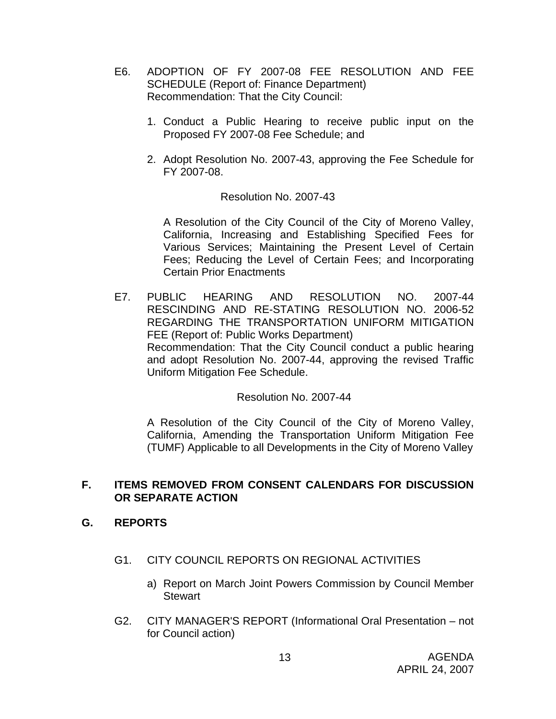- E6. ADOPTION OF FY 2007-08 FEE RESOLUTION AND FEE SCHEDULE (Report of: Finance Department) Recommendation: That the City Council:
	- 1. Conduct a Public Hearing to receive public input on the Proposed FY 2007-08 Fee Schedule; and
	- 2. Adopt Resolution No. 2007-43, approving the Fee Schedule for FY 2007-08.

#### Resolution No. 2007-43

A Resolution of the City Council of the City of Moreno Valley, California, Increasing and Establishing Specified Fees for Various Services; Maintaining the Present Level of Certain Fees; Reducing the Level of Certain Fees; and Incorporating Certain Prior Enactments

E7. PUBLIC HEARING AND RESOLUTION NO. 2007-44 RESCINDING AND RE-STATING RESOLUTION NO. 2006-52 REGARDING THE TRANSPORTATION UNIFORM MITIGATION FEE (Report of: Public Works Department) Recommendation: That the City Council conduct a public hearing and adopt Resolution No. 2007-44, approving the revised Traffic Uniform Mitigation Fee Schedule.

#### Resolution No. 2007-44

A Resolution of the City Council of the City of Moreno Valley, California, Amending the Transportation Uniform Mitigation Fee (TUMF) Applicable to all Developments in the City of Moreno Valley

#### **F. ITEMS REMOVED FROM CONSENT CALENDARS FOR DISCUSSION OR SEPARATE ACTION**

#### **G. REPORTS**

- G1. CITY COUNCIL REPORTS ON REGIONAL ACTIVITIES
	- a) Report on March Joint Powers Commission by Council Member **Stewart**
- G2. CITY MANAGER'S REPORT (Informational Oral Presentation not for Council action)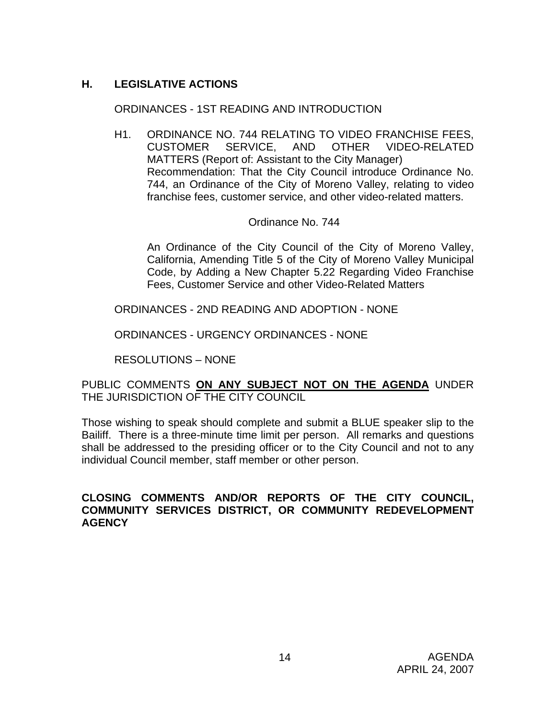## **H. LEGISLATIVE ACTIONS**

## ORDINANCES - 1ST READING AND INTRODUCTION

H1. ORDINANCE NO. 744 RELATING TO VIDEO FRANCHISE FEES, CUSTOMER SERVICE, AND OTHER VIDEO-RELATED MATTERS (Report of: Assistant to the City Manager) Recommendation: That the City Council introduce Ordinance No. 744, an Ordinance of the City of Moreno Valley, relating to video franchise fees, customer service, and other video-related matters.

## Ordinance No. 744

An Ordinance of the City Council of the City of Moreno Valley, California, Amending Title 5 of the City of Moreno Valley Municipal Code, by Adding a New Chapter 5.22 Regarding Video Franchise Fees, Customer Service and other Video-Related Matters

ORDINANCES - 2ND READING AND ADOPTION - NONE

ORDINANCES - URGENCY ORDINANCES - NONE

RESOLUTIONS – NONE

PUBLIC COMMENTS **ON ANY SUBJECT NOT ON THE AGENDA** UNDER THE JURISDICTION OF THE CITY COUNCIL

Those wishing to speak should complete and submit a BLUE speaker slip to the Bailiff. There is a three-minute time limit per person. All remarks and questions shall be addressed to the presiding officer or to the City Council and not to any individual Council member, staff member or other person.

## **CLOSING COMMENTS AND/OR REPORTS OF THE CITY COUNCIL, COMMUNITY SERVICES DISTRICT, OR COMMUNITY REDEVELOPMENT AGENCY**